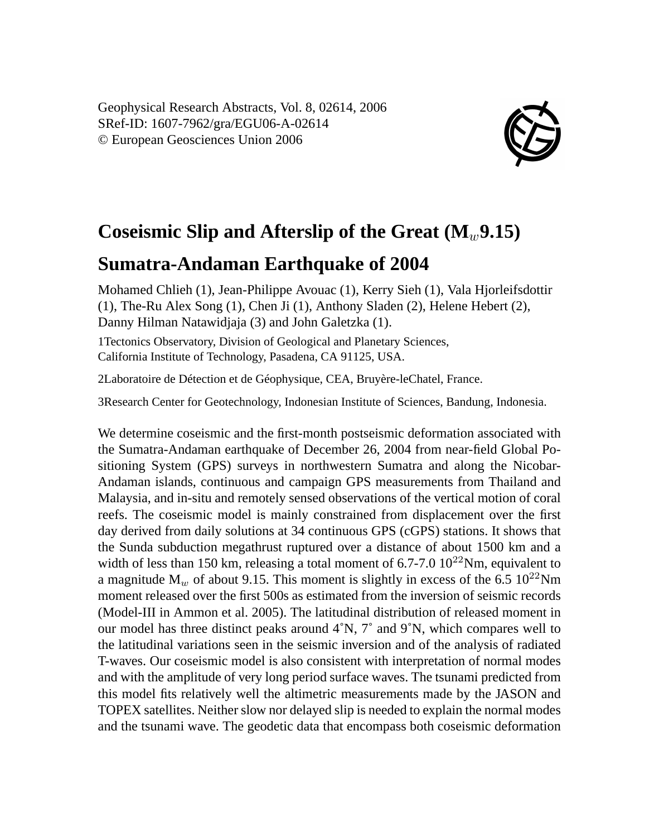Geophysical Research Abstracts, Vol. 8, 02614, 2006 SRef-ID: 1607-7962/gra/EGU06-A-02614 © European Geosciences Union 2006



## **Coseismic Slip and Afterslip of the Great**  $(M_w, 9.15)$

## **Sumatra-Andaman Earthquake of 2004**

Mohamed Chlieh (1), Jean-Philippe Avouac (1), Kerry Sieh (1), Vala Hjorleifsdottir (1), The-Ru Alex Song (1), Chen Ji (1), Anthony Sladen (2), Helene Hebert (2), Danny Hilman Natawidjaja (3) and John Galetzka (1).

1Tectonics Observatory, Division of Geological and Planetary Sciences, California Institute of Technology, Pasadena, CA 91125, USA.

2Laboratoire de Détection et de Géophysique, CEA, Bruyère-leChatel, France.

3Research Center for Geotechnology, Indonesian Institute of Sciences, Bandung, Indonesia.

We determine coseismic and the first-month postseismic deformation associated with the Sumatra-Andaman earthquake of December 26, 2004 from near-field Global Positioning System (GPS) surveys in northwestern Sumatra and along the Nicobar-Andaman islands, continuous and campaign GPS measurements from Thailand and Malaysia, and in-situ and remotely sensed observations of the vertical motion of coral reefs. The coseismic model is mainly constrained from displacement over the first day derived from daily solutions at 34 continuous GPS (cGPS) stations. It shows that the Sunda subduction megathrust ruptured over a distance of about 1500 km and a width of less than 150 km, releasing a total moment of 6.7-7.0  $10^{22}$ Nm, equivalent to a magnitude  $M_w$  of about 9.15. This moment is slightly in excess of the 6.5 10<sup>22</sup>Nm moment released over the first 500s as estimated from the inversion of seismic records (Model-III in Ammon et al. 2005). The latitudinal distribution of released moment in our model has three distinct peaks around  $4^\circ N$ ,  $7^\circ$  and  $9^\circ N$ , which compares well to the latitudinal variations seen in the seismic inversion and of the analysis of radiated T-waves. Our coseismic model is also consistent with interpretation of normal modes and with the amplitude of very long period surface waves. The tsunami predicted from this model fits relatively well the altimetric measurements made by the JASON and TOPEX satellites. Neither slow nor delayed slip is needed to explain the normal modes and the tsunami wave. The geodetic data that encompass both coseismic deformation